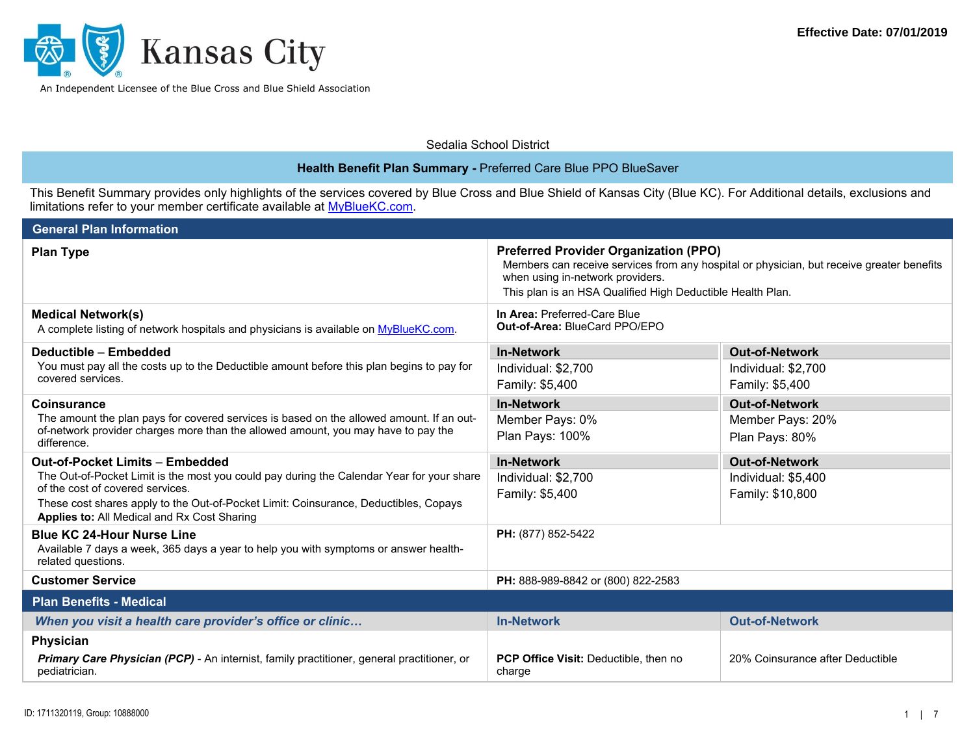

Sedalia School District

| Health Benefit Plan Summary - Preferred Care Blue PPO BlueSaver                                                                                                                                                                                                                                                |                                                                                                                                                                                                                                             |                                                                  |  |
|----------------------------------------------------------------------------------------------------------------------------------------------------------------------------------------------------------------------------------------------------------------------------------------------------------------|---------------------------------------------------------------------------------------------------------------------------------------------------------------------------------------------------------------------------------------------|------------------------------------------------------------------|--|
| This Benefit Summary provides only highlights of the services covered by Blue Cross and Blue Shield of Kansas City (Blue KC). For Additional details, exclusions and<br>limitations refer to your member certificate available at MyBlueKC.com.                                                                |                                                                                                                                                                                                                                             |                                                                  |  |
| <b>General Plan Information</b>                                                                                                                                                                                                                                                                                |                                                                                                                                                                                                                                             |                                                                  |  |
| <b>Plan Type</b>                                                                                                                                                                                                                                                                                               | <b>Preferred Provider Organization (PPO)</b><br>Members can receive services from any hospital or physician, but receive greater benefits<br>when using in-network providers.<br>This plan is an HSA Qualified High Deductible Health Plan. |                                                                  |  |
| <b>Medical Network(s)</b><br>A complete listing of network hospitals and physicians is available on MyBlueKC.com.                                                                                                                                                                                              | In Area: Preferred-Care Blue<br>Out-of-Area: BlueCard PPO/EPO                                                                                                                                                                               |                                                                  |  |
| Deductible - Embedded<br>You must pay all the costs up to the Deductible amount before this plan begins to pay for<br>covered services.                                                                                                                                                                        | <b>In-Network</b><br>Individual: \$2,700<br>Family: \$5,400                                                                                                                                                                                 | <b>Out-of-Network</b><br>Individual: \$2,700<br>Family: \$5,400  |  |
| <b>Coinsurance</b><br>The amount the plan pays for covered services is based on the allowed amount. If an out-<br>of-network provider charges more than the allowed amount, you may have to pay the<br>difference.                                                                                             | <b>In-Network</b><br>Member Pays: 0%<br>Plan Pays: 100%                                                                                                                                                                                     | <b>Out-of-Network</b><br>Member Pays: 20%<br>Plan Pays: 80%      |  |
| <b>Out-of-Pocket Limits - Embedded</b><br>The Out-of-Pocket Limit is the most you could pay during the Calendar Year for your share<br>of the cost of covered services.<br>These cost shares apply to the Out-of-Pocket Limit: Coinsurance, Deductibles, Copays<br>Applies to: All Medical and Rx Cost Sharing | <b>In-Network</b><br>Individual: \$2,700<br>Family: \$5,400                                                                                                                                                                                 | <b>Out-of-Network</b><br>Individual: \$5,400<br>Family: \$10,800 |  |
| <b>Blue KC 24-Hour Nurse Line</b><br>Available 7 days a week, 365 days a year to help you with symptoms or answer health-<br>related questions.                                                                                                                                                                | PH: (877) 852-5422                                                                                                                                                                                                                          |                                                                  |  |
| <b>Customer Service</b>                                                                                                                                                                                                                                                                                        | PH: 888-989-8842 or (800) 822-2583                                                                                                                                                                                                          |                                                                  |  |
| <b>Plan Benefits - Medical</b>                                                                                                                                                                                                                                                                                 |                                                                                                                                                                                                                                             |                                                                  |  |
| When you visit a health care provider's office or clinic                                                                                                                                                                                                                                                       | <b>In-Network</b>                                                                                                                                                                                                                           | <b>Out-of-Network</b>                                            |  |
| Physician                                                                                                                                                                                                                                                                                                      |                                                                                                                                                                                                                                             |                                                                  |  |
| Primary Care Physician (PCP) - An internist, family practitioner, general practitioner, or<br>pediatrician.                                                                                                                                                                                                    | PCP Office Visit: Deductible, then no<br>charge                                                                                                                                                                                             | 20% Coinsurance after Deductible                                 |  |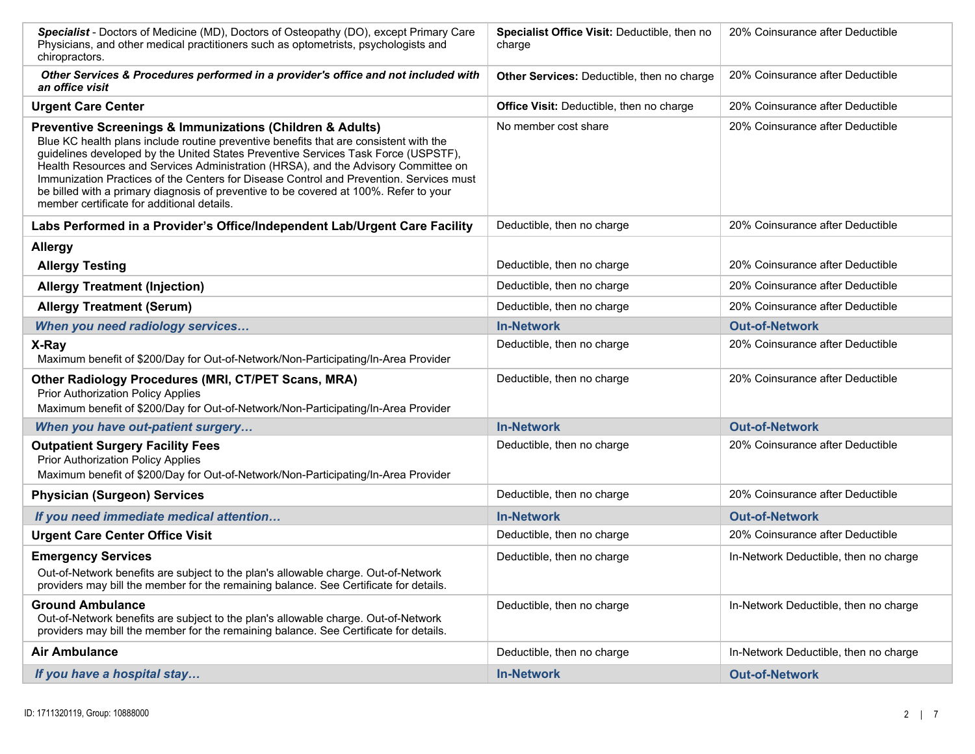| Specialist - Doctors of Medicine (MD), Doctors of Osteopathy (DO), except Primary Care<br>Physicians, and other medical practitioners such as optometrists, psychologists and<br>chiropractors.                                                                                                                                                                                                                                                                                                                                                                  | <b>Specialist Office Visit: Deductible, then no</b><br>charge | 20% Coinsurance after Deductible      |
|------------------------------------------------------------------------------------------------------------------------------------------------------------------------------------------------------------------------------------------------------------------------------------------------------------------------------------------------------------------------------------------------------------------------------------------------------------------------------------------------------------------------------------------------------------------|---------------------------------------------------------------|---------------------------------------|
| Other Services & Procedures performed in a provider's office and not included with<br>an office visit                                                                                                                                                                                                                                                                                                                                                                                                                                                            | Other Services: Deductible, then no charge                    | 20% Coinsurance after Deductible      |
| <b>Urgent Care Center</b>                                                                                                                                                                                                                                                                                                                                                                                                                                                                                                                                        | Office Visit: Deductible, then no charge                      | 20% Coinsurance after Deductible      |
| Preventive Screenings & Immunizations (Children & Adults)<br>Blue KC health plans include routine preventive benefits that are consistent with the<br>guidelines developed by the United States Preventive Services Task Force (USPSTF),<br>Health Resources and Services Administration (HRSA), and the Advisory Committee on<br>Immunization Practices of the Centers for Disease Control and Prevention. Services must<br>be billed with a primary diagnosis of preventive to be covered at 100%. Refer to your<br>member certificate for additional details. | No member cost share                                          | 20% Coinsurance after Deductible      |
| Labs Performed in a Provider's Office/Independent Lab/Urgent Care Facility                                                                                                                                                                                                                                                                                                                                                                                                                                                                                       | Deductible, then no charge                                    | 20% Coinsurance after Deductible      |
| <b>Allergy</b>                                                                                                                                                                                                                                                                                                                                                                                                                                                                                                                                                   |                                                               |                                       |
| <b>Allergy Testing</b>                                                                                                                                                                                                                                                                                                                                                                                                                                                                                                                                           | Deductible, then no charge                                    | 20% Coinsurance after Deductible      |
| <b>Allergy Treatment (Injection)</b>                                                                                                                                                                                                                                                                                                                                                                                                                                                                                                                             | Deductible, then no charge                                    | 20% Coinsurance after Deductible      |
| <b>Allergy Treatment (Serum)</b>                                                                                                                                                                                                                                                                                                                                                                                                                                                                                                                                 | Deductible, then no charge                                    | 20% Coinsurance after Deductible      |
| When you need radiology services                                                                                                                                                                                                                                                                                                                                                                                                                                                                                                                                 | <b>In-Network</b>                                             | <b>Out-of-Network</b>                 |
| X-Ray<br>Maximum benefit of \$200/Day for Out-of-Network/Non-Participating/In-Area Provider                                                                                                                                                                                                                                                                                                                                                                                                                                                                      | Deductible, then no charge                                    | 20% Coinsurance after Deductible      |
| Other Radiology Procedures (MRI, CT/PET Scans, MRA)<br><b>Prior Authorization Policy Applies</b><br>Maximum benefit of \$200/Day for Out-of-Network/Non-Participating/In-Area Provider                                                                                                                                                                                                                                                                                                                                                                           | Deductible, then no charge                                    | 20% Coinsurance after Deductible      |
| When you have out-patient surgery                                                                                                                                                                                                                                                                                                                                                                                                                                                                                                                                | <b>In-Network</b>                                             | <b>Out-of-Network</b>                 |
| <b>Outpatient Surgery Facility Fees</b><br><b>Prior Authorization Policy Applies</b><br>Maximum benefit of \$200/Day for Out-of-Network/Non-Participating/In-Area Provider                                                                                                                                                                                                                                                                                                                                                                                       | Deductible, then no charge                                    | 20% Coinsurance after Deductible      |
| <b>Physician (Surgeon) Services</b>                                                                                                                                                                                                                                                                                                                                                                                                                                                                                                                              | Deductible, then no charge                                    | 20% Coinsurance after Deductible      |
| If you need immediate medical attention                                                                                                                                                                                                                                                                                                                                                                                                                                                                                                                          | <b>In-Network</b>                                             | <b>Out-of-Network</b>                 |
| <b>Urgent Care Center Office Visit</b>                                                                                                                                                                                                                                                                                                                                                                                                                                                                                                                           | Deductible, then no charge                                    | 20% Coinsurance after Deductible      |
| <b>Emergency Services</b><br>Out-of-Network benefits are subject to the plan's allowable charge. Out-of-Network<br>providers may bill the member for the remaining balance. See Certificate for details.                                                                                                                                                                                                                                                                                                                                                         | Deductible, then no charge                                    | In-Network Deductible, then no charge |
| <b>Ground Ambulance</b><br>Out-of-Network benefits are subject to the plan's allowable charge. Out-of-Network<br>providers may bill the member for the remaining balance. See Certificate for details.                                                                                                                                                                                                                                                                                                                                                           | Deductible, then no charge                                    | In-Network Deductible, then no charge |
| <b>Air Ambulance</b>                                                                                                                                                                                                                                                                                                                                                                                                                                                                                                                                             | Deductible, then no charge                                    | In-Network Deductible, then no charge |
| If you have a hospital stay                                                                                                                                                                                                                                                                                                                                                                                                                                                                                                                                      | <b>In-Network</b>                                             | <b>Out-of-Network</b>                 |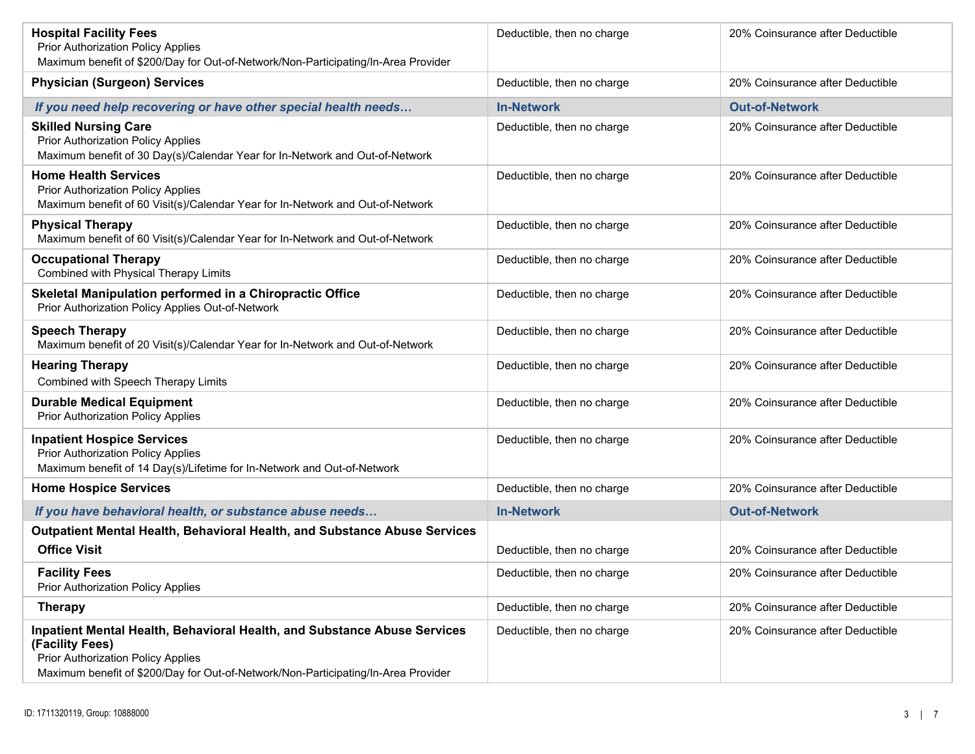| <b>Hospital Facility Fees</b><br><b>Prior Authorization Policy Applies</b><br>Maximum benefit of \$200/Day for Out-of-Network/Non-Participating/In-Area Provider                                                               | Deductible, then no charge | 20% Coinsurance after Deductible |
|--------------------------------------------------------------------------------------------------------------------------------------------------------------------------------------------------------------------------------|----------------------------|----------------------------------|
| <b>Physician (Surgeon) Services</b>                                                                                                                                                                                            | Deductible, then no charge | 20% Coinsurance after Deductible |
| If you need help recovering or have other special health needs                                                                                                                                                                 | <b>In-Network</b>          | <b>Out-of-Network</b>            |
| <b>Skilled Nursing Care</b><br><b>Prior Authorization Policy Applies</b><br>Maximum benefit of 30 Day(s)/Calendar Year for In-Network and Out-of-Network                                                                       | Deductible, then no charge | 20% Coinsurance after Deductible |
| <b>Home Health Services</b><br><b>Prior Authorization Policy Applies</b><br>Maximum benefit of 60 Visit(s)/Calendar Year for In-Network and Out-of-Network                                                                     | Deductible, then no charge | 20% Coinsurance after Deductible |
| <b>Physical Therapy</b><br>Maximum benefit of 60 Visit(s)/Calendar Year for In-Network and Out-of-Network                                                                                                                      | Deductible, then no charge | 20% Coinsurance after Deductible |
| <b>Occupational Therapy</b><br>Combined with Physical Therapy Limits                                                                                                                                                           | Deductible, then no charge | 20% Coinsurance after Deductible |
| Skeletal Manipulation performed in a Chiropractic Office<br>Prior Authorization Policy Applies Out-of-Network                                                                                                                  | Deductible, then no charge | 20% Coinsurance after Deductible |
| <b>Speech Therapy</b><br>Maximum benefit of 20 Visit(s)/Calendar Year for In-Network and Out-of-Network                                                                                                                        | Deductible, then no charge | 20% Coinsurance after Deductible |
| <b>Hearing Therapy</b><br>Combined with Speech Therapy Limits                                                                                                                                                                  | Deductible, then no charge | 20% Coinsurance after Deductible |
| <b>Durable Medical Equipment</b><br>Prior Authorization Policy Applies                                                                                                                                                         | Deductible, then no charge | 20% Coinsurance after Deductible |
| <b>Inpatient Hospice Services</b><br><b>Prior Authorization Policy Applies</b><br>Maximum benefit of 14 Day(s)/Lifetime for In-Network and Out-of-Network                                                                      | Deductible, then no charge | 20% Coinsurance after Deductible |
| <b>Home Hospice Services</b>                                                                                                                                                                                                   | Deductible, then no charge | 20% Coinsurance after Deductible |
| If you have behavioral health, or substance abuse needs                                                                                                                                                                        | <b>In-Network</b>          | <b>Out-of-Network</b>            |
| <b>Outpatient Mental Health, Behavioral Health, and Substance Abuse Services</b><br><b>Office Visit</b>                                                                                                                        | Deductible, then no charge | 20% Coinsurance after Deductible |
| <b>Facility Fees</b><br><b>Prior Authorization Policy Applies</b>                                                                                                                                                              | Deductible, then no charge | 20% Coinsurance after Deductible |
| <b>Therapy</b>                                                                                                                                                                                                                 | Deductible, then no charge | 20% Coinsurance after Deductible |
| Inpatient Mental Health, Behavioral Health, and Substance Abuse Services<br>(Facility Fees)<br><b>Prior Authorization Policy Applies</b><br>Maximum benefit of \$200/Day for Out-of-Network/Non-Participating/In-Area Provider | Deductible, then no charge | 20% Coinsurance after Deductible |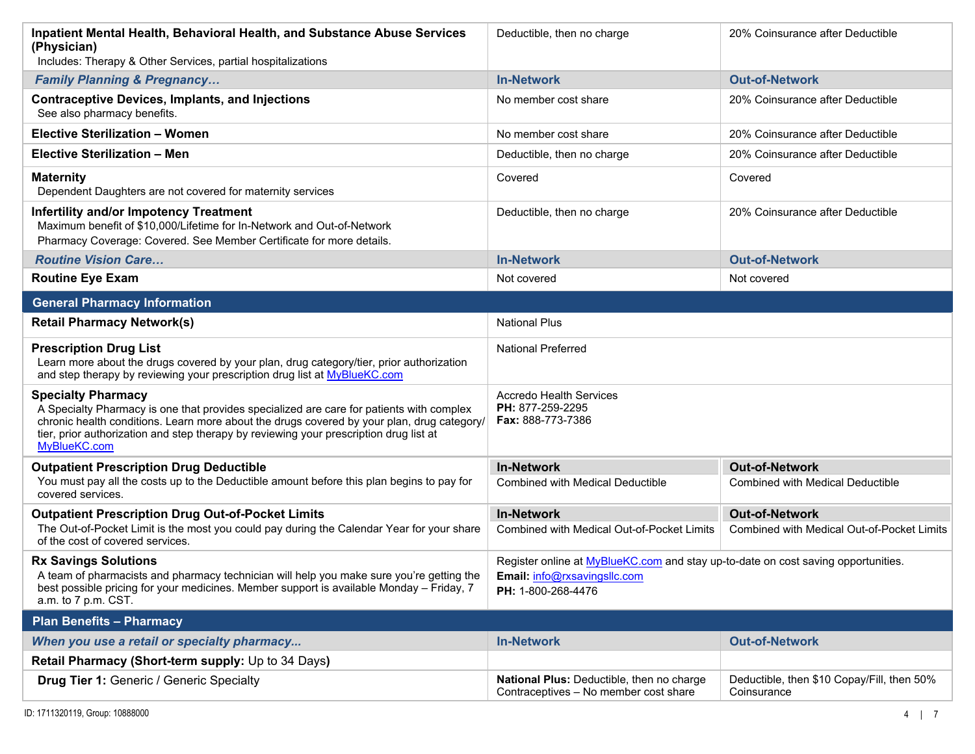| Inpatient Mental Health, Behavioral Health, and Substance Abuse Services<br>(Physician)<br>Includes: Therapy & Other Services, partial hospitalizations                                                                                                                                                                       | Deductible, then no charge                                                                                                                     | 20% Coinsurance after Deductible                                    |
|-------------------------------------------------------------------------------------------------------------------------------------------------------------------------------------------------------------------------------------------------------------------------------------------------------------------------------|------------------------------------------------------------------------------------------------------------------------------------------------|---------------------------------------------------------------------|
| <b>Family Planning &amp; Pregnancy</b>                                                                                                                                                                                                                                                                                        | <b>In-Network</b>                                                                                                                              | <b>Out-of-Network</b>                                               |
| <b>Contraceptive Devices, Implants, and Injections</b><br>See also pharmacy benefits.                                                                                                                                                                                                                                         | No member cost share                                                                                                                           | 20% Coinsurance after Deductible                                    |
| <b>Elective Sterilization - Women</b>                                                                                                                                                                                                                                                                                         | No member cost share                                                                                                                           | 20% Coinsurance after Deductible                                    |
| Elective Sterilization - Men                                                                                                                                                                                                                                                                                                  | Deductible, then no charge                                                                                                                     | 20% Coinsurance after Deductible                                    |
| <b>Maternity</b><br>Dependent Daughters are not covered for maternity services                                                                                                                                                                                                                                                | Covered                                                                                                                                        | Covered                                                             |
| <b>Infertility and/or Impotency Treatment</b><br>Maximum benefit of \$10,000/Lifetime for In-Network and Out-of-Network<br>Pharmacy Coverage: Covered. See Member Certificate for more details.                                                                                                                               | Deductible, then no charge                                                                                                                     | 20% Coinsurance after Deductible                                    |
| <b>Routine Vision Care</b>                                                                                                                                                                                                                                                                                                    | <b>In-Network</b>                                                                                                                              | <b>Out-of-Network</b>                                               |
| <b>Routine Eye Exam</b>                                                                                                                                                                                                                                                                                                       | Not covered                                                                                                                                    | Not covered                                                         |
| <b>General Pharmacy Information</b>                                                                                                                                                                                                                                                                                           |                                                                                                                                                |                                                                     |
| <b>Retail Pharmacy Network(s)</b>                                                                                                                                                                                                                                                                                             | <b>National Plus</b>                                                                                                                           |                                                                     |
| <b>Prescription Drug List</b><br>Learn more about the drugs covered by your plan, drug category/tier, prior authorization<br>and step therapy by reviewing your prescription drug list at MyBlueKC.com                                                                                                                        | <b>National Preferred</b>                                                                                                                      |                                                                     |
| <b>Specialty Pharmacy</b><br>A Specialty Pharmacy is one that provides specialized are care for patients with complex<br>chronic health conditions. Learn more about the drugs covered by your plan, drug category/<br>tier, prior authorization and step therapy by reviewing your prescription drug list at<br>MyBlueKC.com | <b>Accredo Health Services</b><br>PH: 877-259-2295<br>Fax: 888-773-7386                                                                        |                                                                     |
| <b>Outpatient Prescription Drug Deductible</b>                                                                                                                                                                                                                                                                                | <b>In-Network</b>                                                                                                                              | <b>Out-of-Network</b>                                               |
| You must pay all the costs up to the Deductible amount before this plan begins to pay for<br>covered services.                                                                                                                                                                                                                | <b>Combined with Medical Deductible</b>                                                                                                        | <b>Combined with Medical Deductible</b>                             |
| <b>Outpatient Prescription Drug Out-of-Pocket Limits</b><br>The Out-of-Pocket Limit is the most you could pay during the Calendar Year for your share<br>of the cost of covered services.                                                                                                                                     | <b>In-Network</b><br><b>Combined with Medical Out-of-Pocket Limits</b>                                                                         | <b>Out-of-Network</b><br>Combined with Medical Out-of-Pocket Limits |
| <b>Rx Savings Solutions</b><br>A team of pharmacists and pharmacy technician will help you make sure you're getting the<br>best possible pricing for your medicines. Member support is available Monday - Friday, 7<br>a.m. to 7 p.m. CST.                                                                                    | Register online at <b>MyBlueKC.com</b> and stay up-to-date on cost saving opportunities.<br>Email: info@rxsavingsllc.com<br>PH: 1-800-268-4476 |                                                                     |
| <b>Plan Benefits - Pharmacy</b>                                                                                                                                                                                                                                                                                               |                                                                                                                                                |                                                                     |
| When you use a retail or specialty pharmacy                                                                                                                                                                                                                                                                                   | <b>In-Network</b>                                                                                                                              | <b>Out-of-Network</b>                                               |
| Retail Pharmacy (Short-term supply: Up to 34 Days)                                                                                                                                                                                                                                                                            |                                                                                                                                                |                                                                     |
| <b>Drug Tier 1: Generic / Generic Specialty</b>                                                                                                                                                                                                                                                                               | National Plus: Deductible, then no charge<br>Contraceptives - No member cost share                                                             | Deductible, then \$10 Copay/Fill, then 50%<br>Coinsurance           |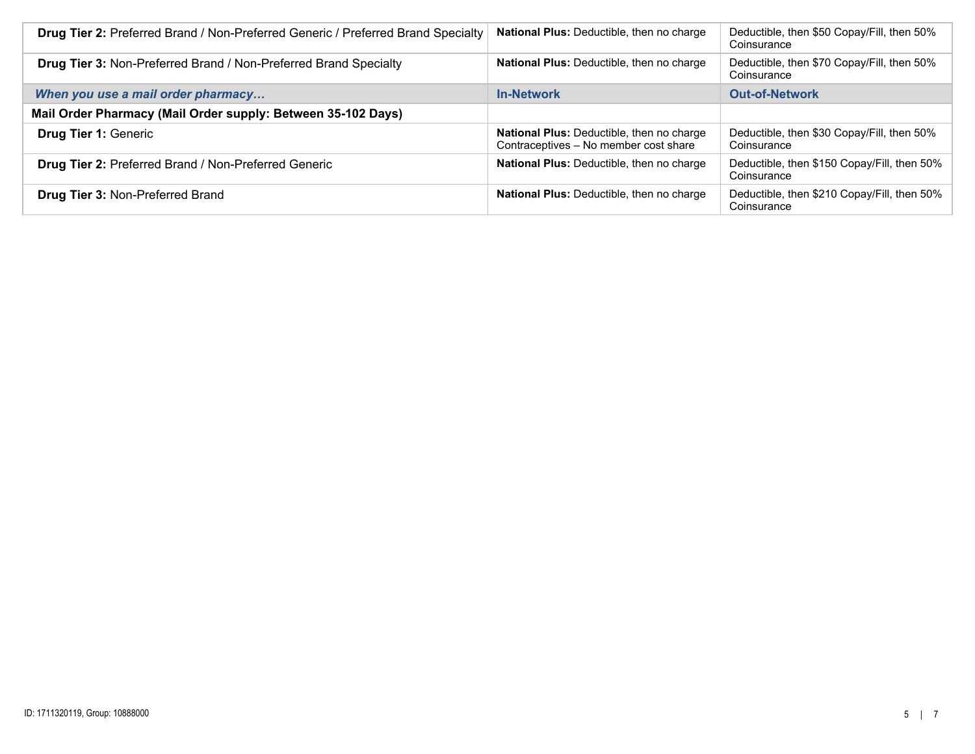| <b>Drug Tier 2: Preferred Brand / Non-Preferred Generic / Preferred Brand Specialty</b> | National Plus: Deductible, then no charge                                                 | Deductible, then \$50 Copay/Fill, then 50%<br>Coinsurance  |
|-----------------------------------------------------------------------------------------|-------------------------------------------------------------------------------------------|------------------------------------------------------------|
| <b>Drug Tier 3: Non-Preferred Brand / Non-Preferred Brand Specialty</b>                 | <b>National Plus: Deductible, then no charge</b>                                          | Deductible, then \$70 Copay/Fill, then 50%<br>Coinsurance  |
| When you use a mail order pharmacy                                                      | <b>In-Network</b>                                                                         | <b>Out-of-Network</b>                                      |
| Mail Order Pharmacy (Mail Order supply: Between 35-102 Days)                            |                                                                                           |                                                            |
| <b>Drug Tier 1: Generic</b>                                                             | <b>National Plus: Deductible, then no charge</b><br>Contraceptives - No member cost share | Deductible, then \$30 Copay/Fill, then 50%<br>Coinsurance  |
| Drug Tier 2: Preferred Brand / Non-Preferred Generic                                    | <b>National Plus: Deductible, then no charge</b>                                          | Deductible, then \$150 Copay/Fill, then 50%<br>Coinsurance |
| <b>Drug Tier 3: Non-Preferred Brand</b>                                                 | <b>National Plus: Deductible, then no charge</b>                                          | Deductible, then \$210 Copay/Fill, then 50%<br>Coinsurance |
|                                                                                         |                                                                                           |                                                            |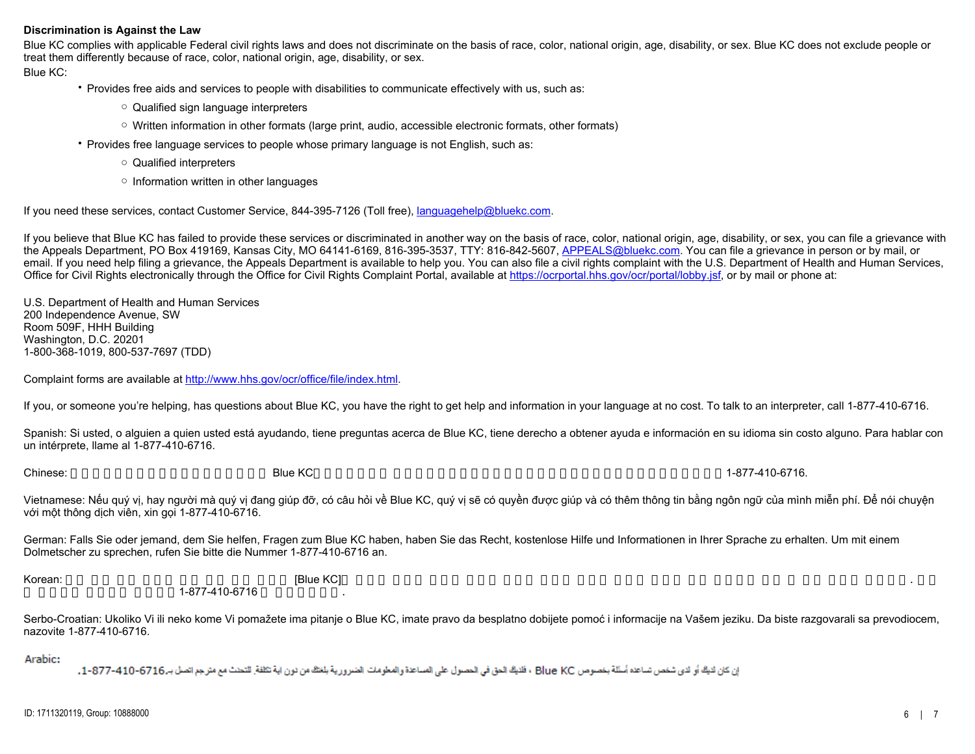## **Discrimination is Against the Law**

Blue KC complies with applicable Federal civil rights laws and does not discriminate on the basis of race, color, national origin, age, disability, or sex. Blue KC does not exclude people or treat them differently because of race, color, national origin, age, disability, or sex.

Blue KC:

• Provides free aids and services to people with disabilities to communicate effectively with us, such as:

- Qualified sign language interpreters
- Written information in other formats (large print, audio, accessible electronic formats, other formats)
- Provides free language services to people whose primary language is not English, such as:
	- Qualified interpreters
	- Information written in other languages

If you need these services, contact Customer Service, 844-395-7126 (Toll free), [languagehelp@bluekc.com](mailto:languagehelp@bluekc.com).

If you believe that Blue KC has failed to provide these services or discriminated in another way on the basis of race, color, national origin, age, disability, or sex, you can file a grievance with the Appeals Department, PO Box 419169, Kansas City, MO 64141-6169, 816-395-3537, TTY: 816-842-5607, [APPEALS@bluekc.com](mailto:APPEALS@bluekc.com). You can file a grievance in person or by mail, or email. If you need help filing a grievance, the Appeals Department is available to help you. You can also file a civil rights complaint with the U.S. Department of Health and Human Services, Office for Civil Rights electronically through the Office for Civil Rights Complaint Portal, available at<https://ocrportal.hhs.gov/ocr/portal/lobby.jsf>, or by mail or phone at:

U.S. Department of Health and Human Services 200 Independence Avenue, SW Room 509F, HHH Building Washington, D.C. 20201 1-800-368-1019, 800-537-7697 (TDD)

Complaint forms are available at [http://www.hhs.gov/ocr/office/file/index.html](https://www.hhs.gov/ocr/office/file/index.html).

If you, or someone you're helping, has questions about Blue KC, you have the right to get help and information in your language at no cost. To talk to an interpreter, call 1-877-410-6716.

Spanish: Si usted, o alguien a quien usted está ayudando, tiene preguntas acerca de Blue KC, tiene derecho a obtener ayuda e información en su idioma sin costo alguno. Para hablar con un intérprete, llame al 1-877-410-6716.

Chinese: 如果您,或是您正在協助的對象,有關於 Blue KC方面的問題,您 有權利免費以您的母語得到幫助和訊息。洽詢一位翻譯員,請撥電話1-877-410-6716.

Vietnamese: Nếu quý vị, hay người mà quý vị đang giúp đỡ, có câu hỏi về Blue KC, quý vị sẽ có quyền được giúp và có thêm thông tin bằng ngôn ngữ của mình miễn phí. Để nói chuyện với một thông dịch viên, xin gọi 1-877-410-6716.

German: Falls Sie oder jemand, dem Sie helfen, Fragen zum Blue KC haben, haben Sie das Recht, kostenlose Hilfe und Informationen in Ihrer Sprache zu erhalten. Um mit einem Dolmetscher zu sprechen, rufen Sie bitte die Nummer 1-877-410-6716 an.

Korean: 한약 기능을 구축하 도움과 같은 어떤 사람이 있다면 있다면 있다면 있다면 있다면 귀하의 질문이 있다면 귀하의 것보다 귀하의 것보다 귀하의 것보다 구축하고 있습니다. 그러한 도움과 정보를 1-877-410-6716

Serbo-Croatian: Ukoliko Vi ili neko kome Vi pomažete ima pitanje o Blue KC, imate pravo da besplatno dobijete pomoć i informacije na Vašem jeziku. Da biste razgovarali sa prevodiocem, nazovite 1-877-410-6716.

Arabic:

ان كان لايك أو لاى شخص تساعده أسئلة بخصوص Blue KC ، فلايك الحق فى الحصول على المساعدة والمعلومات الضرورية بلغتك من نون اية تكلفة للتحنث مع مترجع اتصل بـ 6716-10-877-1، -1،